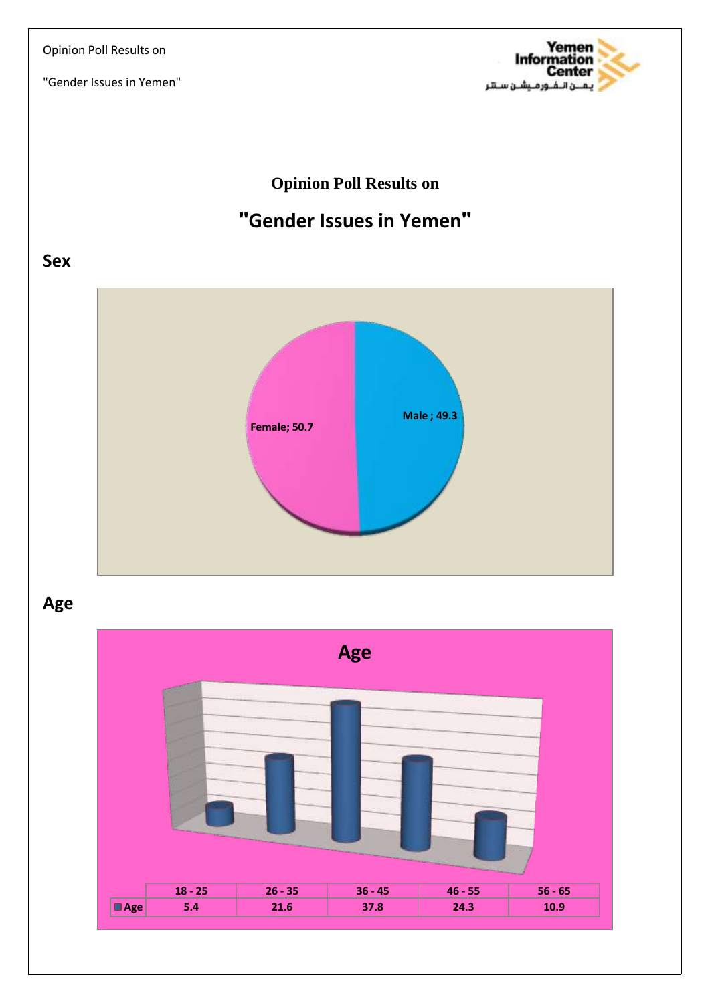

### **Opinion Poll Results on**

# **"Gender Issues in Yemen"**

### **Sex**



**Age**

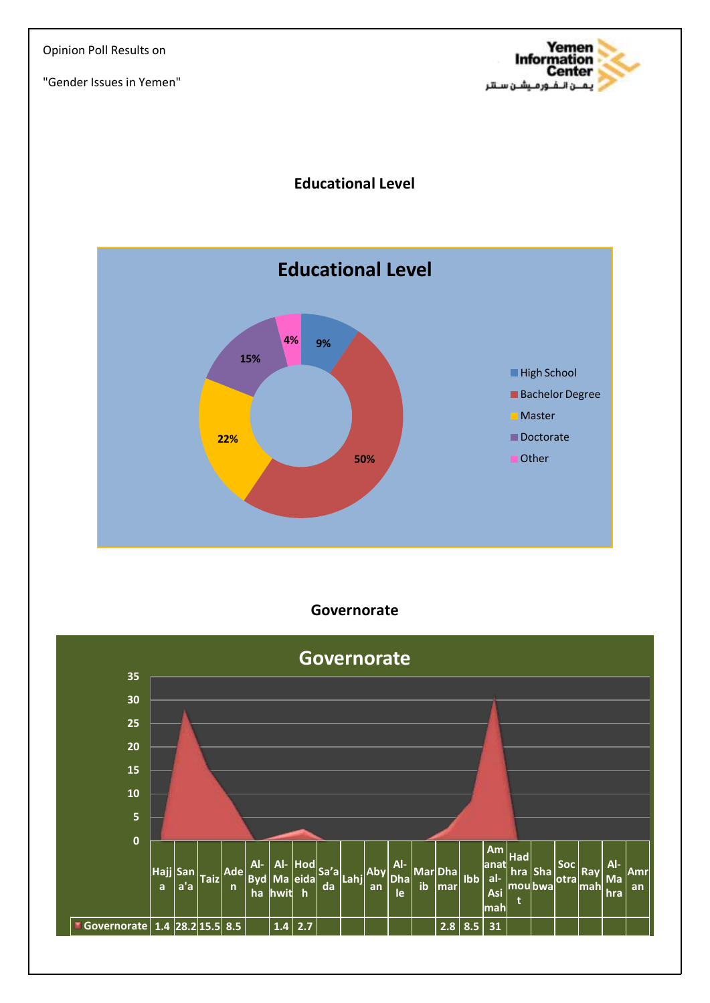

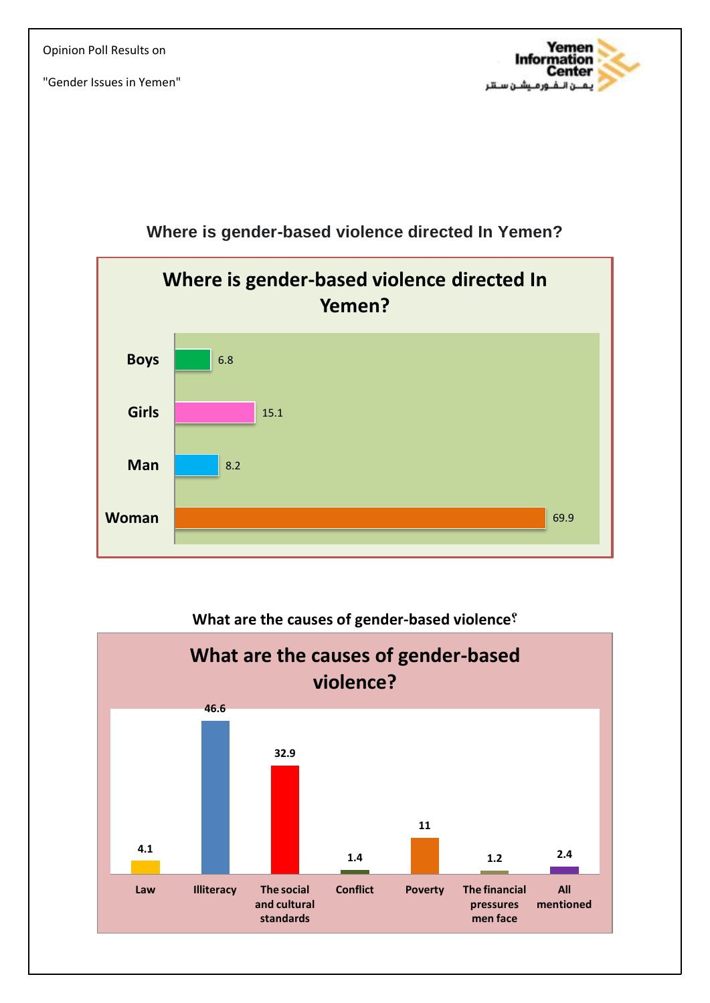



### **Where is gender-based violence directed In Yemen?**



#### **What are the causes of gender-based violence?**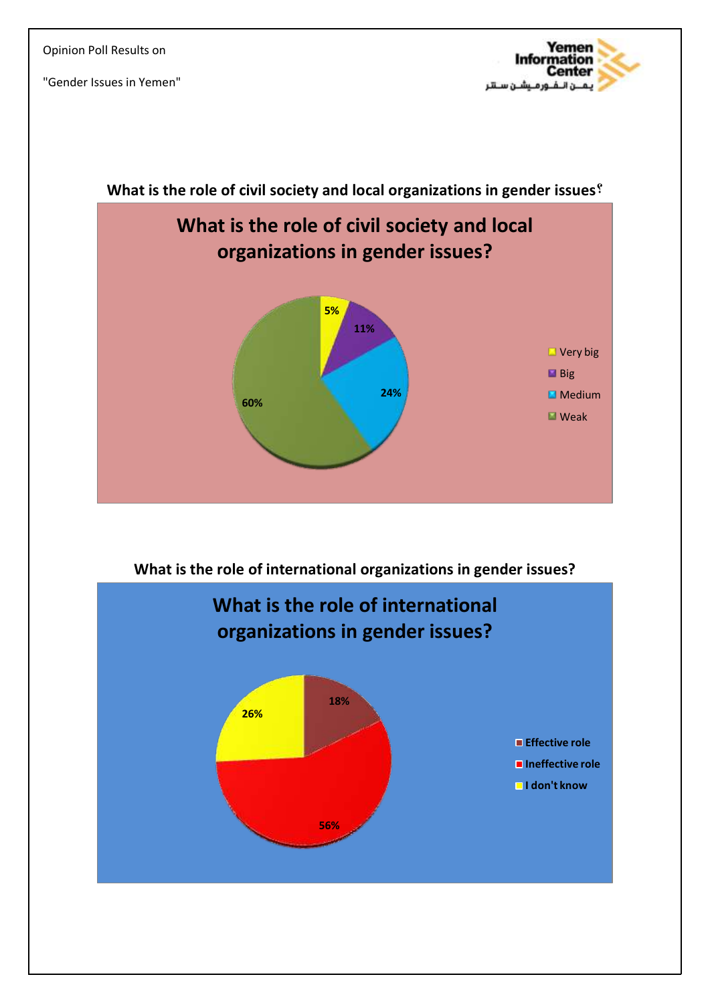



**What is the role of international organizations in gender issues?**

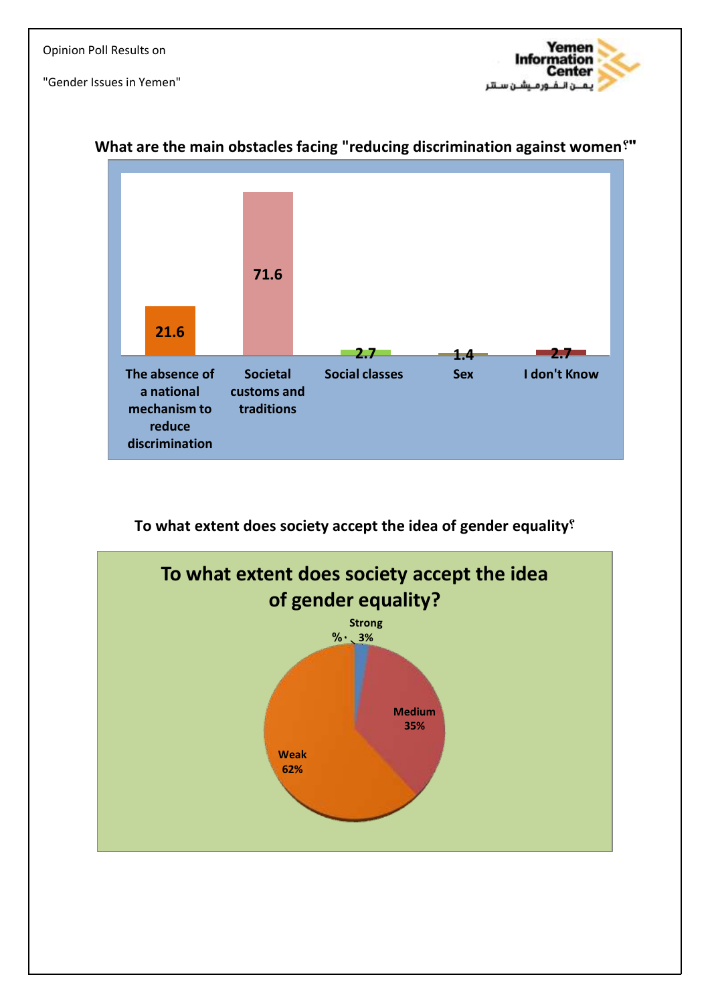



#### **What are the main obstacles facing "reducing discrimination against women?"**

**To what extent does society accept the idea of gender equality?**